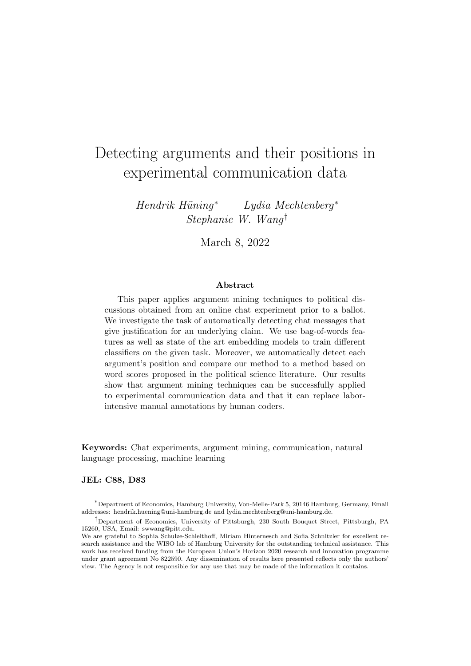# Detecting arguments and their positions in experimental communication data

 $Hendrik Hüning*$  Lydia Mechtenberg<sup>\*</sup> Stephanie W. Wang†

March 8, 2022

#### Abstract

This paper applies argument mining techniques to political discussions obtained from an online chat experiment prior to a ballot. We investigate the task of automatically detecting chat messages that give justification for an underlying claim. We use bag-of-words features as well as state of the art embedding models to train different classifiers on the given task. Moreover, we automatically detect each argument's position and compare our method to a method based on word scores proposed in the political science literature. Our results show that argument mining techniques can be successfully applied to experimental communication data and that it can replace laborintensive manual annotations by human coders.

Keywords: Chat experiments, argument mining, communication, natural language processing, machine learning

#### JEL: C88, D83

<sup>∗</sup>Department of Economics, Hamburg University, Von-Melle-Park 5, 20146 Hamburg, Germany, Email addresses: hendrik.huening@uni-hamburg.de and lydia.mechtenberg@uni-hamburg.de.

<sup>†</sup>Department of Economics, University of Pittsburgh, 230 South Bouquet Street, Pittsburgh, PA 15260, USA, Email: swwang@pitt.edu.

We are grateful to Sophia Schulze-Schleithoff, Miriam Hinternesch and Sofia Schnitzler for excellent research assistance and the WISO lab of Hamburg University for the outstanding technical assistance. This work has received funding from the European Union's Horizon 2020 research and innovation programme under grant agreement No 822590. Any dissemination of results here presented reflects only the authors' view. The Agency is not responsible for any use that may be made of the information it contains.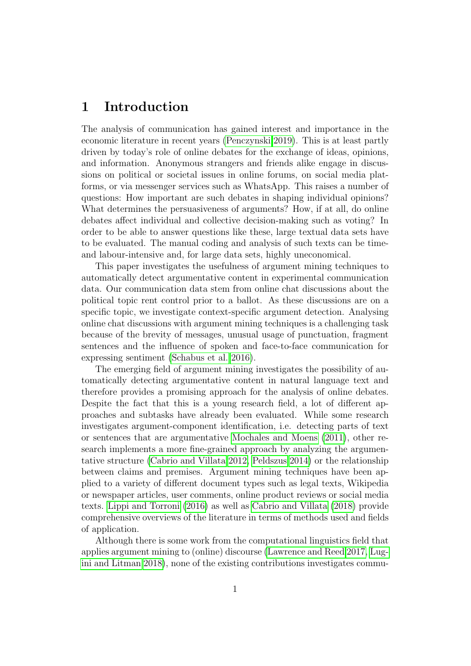## 1 Introduction

The analysis of communication has gained interest and importance in the economic literature in recent years [\(Penczynski 2019\)](#page-19-0). This is at least partly driven by today's role of online debates for the exchange of ideas, opinions, and information. Anonymous strangers and friends alike engage in discussions on political or societal issues in online forums, on social media platforms, or via messenger services such as WhatsApp. This raises a number of questions: How important are such debates in shaping individual opinions? What determines the persuasiveness of arguments? How, if at all, do online debates affect individual and collective decision-making such as voting? In order to be able to answer questions like these, large textual data sets have to be evaluated. The manual coding and analysis of such texts can be timeand labour-intensive and, for large data sets, highly uneconomical.

This paper investigates the usefulness of argument mining techniques to automatically detect argumentative content in experimental communication data. Our communication data stem from online chat discussions about the political topic rent control prior to a ballot. As these discussions are on a specific topic, we investigate context-specific argument detection. Analysing online chat discussions with argument mining techniques is a challenging task because of the brevity of messages, unusual usage of punctuation, fragment sentences and the influence of spoken and face-to-face communication for expressing sentiment [\(Schabus et al. 2016\)](#page-20-0).

The emerging field of argument mining investigates the possibility of automatically detecting argumentative content in natural language text and therefore provides a promising approach for the analysis of online debates. Despite the fact that this is a young research field, a lot of different approaches and subtasks have already been evaluated. While some research investigates argument-component identification, i.e. detecting parts of text or sentences that are argumentative [Mochales and Moens](#page-19-1) [\(2011\)](#page-19-1), other research implements a more fine-grained approach by analyzing the argumentative structure [\(Cabrio and Villata 2012,](#page-18-0) [Peldszus 2014\)](#page-19-2) or the relationship between claims and premises. Argument mining techniques have been applied to a variety of different document types such as legal texts, Wikipedia or newspaper articles, user comments, online product reviews or social media texts. [Lippi and Torroni](#page-19-3) [\(2016\)](#page-19-3) as well as [Cabrio and Villata](#page-18-1) [\(2018\)](#page-18-1) provide comprehensive overviews of the literature in terms of methods used and fields of application.

Although there is some work from the computational linguistics field that applies argument mining to (online) discourse [\(Lawrence and Reed 2017,](#page-19-4) [Lug](#page-19-5)[ini and Litman 2018\)](#page-19-5), none of the existing contributions investigates commu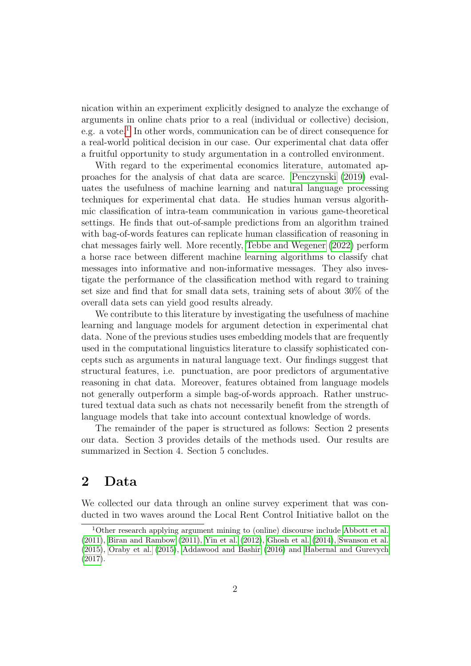nication within an experiment explicitly designed to analyze the exchange of arguments in online chats prior to a real (individual or collective) decision, e.g. a vote.<sup>[1](#page-2-0)</sup> In other words, communication can be of direct consequence for a real-world political decision in our case. Our experimental chat data offer a fruitful opportunity to study argumentation in a controlled environment.

With regard to the experimental economics literature, automated approaches for the analysis of chat data are scarce. [Penczynski](#page-19-0) [\(2019\)](#page-19-0) evaluates the usefulness of machine learning and natural language processing techniques for experimental chat data. He studies human versus algorithmic classification of intra-team communication in various game-theoretical settings. He finds that out-of-sample predictions from an algorithm trained with bag-of-words features can replicate human classification of reasoning in chat messages fairly well. More recently, [Tebbe and Wegener](#page-20-1) [\(2022\)](#page-20-1) perform a horse race between different machine learning algorithms to classify chat messages into informative and non-informative messages. They also investigate the performance of the classification method with regard to training set size and find that for small data sets, training sets of about 30% of the overall data sets can yield good results already.

We contribute to this literature by investigating the usefulness of machine learning and language models for argument detection in experimental chat data. None of the previous studies uses embedding models that are frequently used in the computational linguistics literature to classify sophisticated concepts such as arguments in natural language text. Our findings suggest that structural features, i.e. punctuation, are poor predictors of argumentative reasoning in chat data. Moreover, features obtained from language models not generally outperform a simple bag-of-words approach. Rather unstructured textual data such as chats not necessarily benefit from the strength of language models that take into account contextual knowledge of words.

The remainder of the paper is structured as follows: Section 2 presents our data. Section 3 provides details of the methods used. Our results are summarized in Section 4. Section 5 concludes.

### 2 Data

We collected our data through an online survey experiment that was conducted in two waves around the Local Rent Control Initiative ballot on the

<span id="page-2-0"></span><sup>1</sup>Other research applying argument mining to (online) discourse include [Abbott et al.](#page-18-2) [\(2011\)](#page-18-2), [Biran and Rambow](#page-18-3) [\(2011\)](#page-18-3), [Yin et al.](#page-21-0) [\(2012\)](#page-21-0), [Ghosh et al.](#page-18-4) [\(2014\)](#page-18-4), [Swanson et al.](#page-20-2) [\(2015\)](#page-20-2), [Oraby et al.](#page-19-6) [\(2015\)](#page-19-6), [Addawood and Bashir](#page-18-5) [\(2016\)](#page-18-5) and [Habernal and Gurevych](#page-18-6) [\(2017\)](#page-18-6).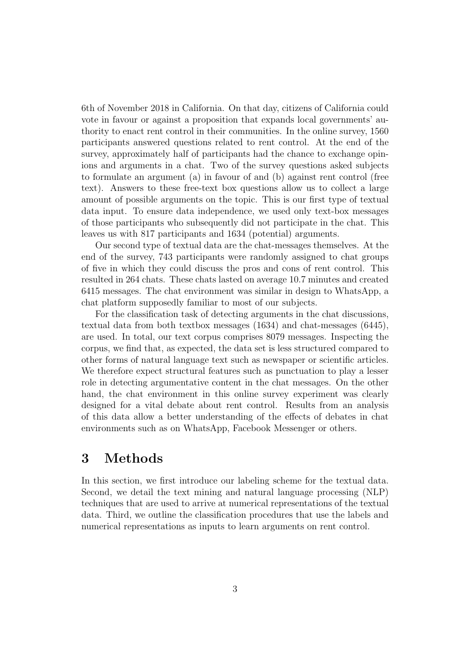6th of November 2018 in California. On that day, citizens of California could vote in favour or against a proposition that expands local governments' authority to enact rent control in their communities. In the online survey, 1560 participants answered questions related to rent control. At the end of the survey, approximately half of participants had the chance to exchange opinions and arguments in a chat. Two of the survey questions asked subjects to formulate an argument (a) in favour of and (b) against rent control (free text). Answers to these free-text box questions allow us to collect a large amount of possible arguments on the topic. This is our first type of textual data input. To ensure data independence, we used only text-box messages of those participants who subsequently did not participate in the chat. This leaves us with 817 participants and 1634 (potential) arguments.

Our second type of textual data are the chat-messages themselves. At the end of the survey, 743 participants were randomly assigned to chat groups of five in which they could discuss the pros and cons of rent control. This resulted in 264 chats. These chats lasted on average 10.7 minutes and created 6415 messages. The chat environment was similar in design to WhatsApp, a chat platform supposedly familiar to most of our subjects.

For the classification task of detecting arguments in the chat discussions, textual data from both textbox messages (1634) and chat-messages (6445), are used. In total, our text corpus comprises 8079 messages. Inspecting the corpus, we find that, as expected, the data set is less structured compared to other forms of natural language text such as newspaper or scientific articles. We therefore expect structural features such as punctuation to play a lesser role in detecting argumentative content in the chat messages. On the other hand, the chat environment in this online survey experiment was clearly designed for a vital debate about rent control. Results from an analysis of this data allow a better understanding of the effects of debates in chat environments such as on WhatsApp, Facebook Messenger or others.

### 3 Methods

In this section, we first introduce our labeling scheme for the textual data. Second, we detail the text mining and natural language processing (NLP) techniques that are used to arrive at numerical representations of the textual data. Third, we outline the classification procedures that use the labels and numerical representations as inputs to learn arguments on rent control.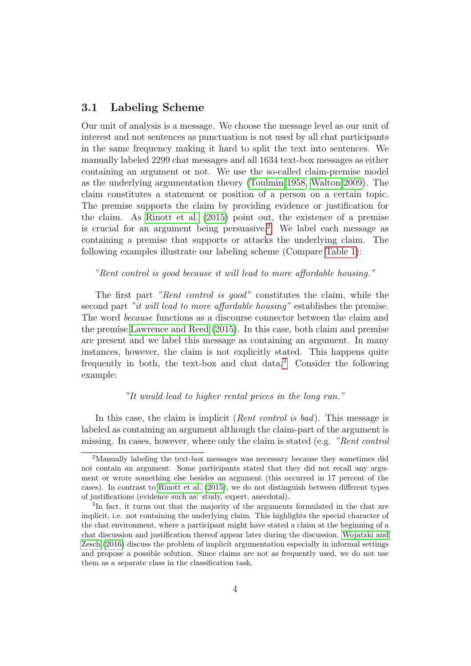#### 3.1 Labeling Scheme

Our unit of analysis is a message. We choose the message level as our unit of interest and not sentences as punctuation is not used by all chat participants in the same frequency making it hard to split the text into sentences. We manually labeled 2299 chat messages and all 1634 text-box messages as either containing an argument or not. We use the so-called claim-premise model as the underlying argumentation theory [\(Toulmin 1958,](#page-20-3) [Walton 2009\)](#page-20-4). The claim constitutes a statement or position of a person on a certain topic. The premise supports the claim by providing evidence or justification for the claim. As [Rinott et al.](#page-20-5) [\(2015\)](#page-20-5) point out, the existence of a premise is crucial for an argument being persuasive.<sup>[2](#page-4-0)</sup> We label each message as containing a premise that supports or attacks the underlying claim. The following examples illustrate our labeling scheme (Compare [Table 1\)](#page-5-0):

#### "Rent control is good because it will lead to more affordable housing."

The first part "Rent control is good" constitutes the claim, while the second part "it will lead to more affordable housing" establishes the premise. The word because functions as a discourse connector between the claim and the premise [Lawrence and Reed](#page-19-7) [\(2015\)](#page-19-7). In this case, both claim and premise are present and we label this message as containing an argument. In many instances, however, the claim is not explicitly stated. This happens quite frequently in both, the text-box and chat data.[3](#page-4-1) Consider the following example:

#### "It would lead to higher rental prices in the long run."

In this case, the claim is implicit *(Rent control is bad)*. This message is labeled as containing an argument although the claim-part of the argument is missing. In cases, however, where only the claim is stated (e.g. "Rent control

<span id="page-4-0"></span><sup>2</sup>Manually labeling the text-box messages was necessary because they sometimes did not contain an argument. Some participants stated that they did not recall any argument or wrote something else besides an argument (this occurred in 17 percent of the cases). In contrast to [Rinott et al.](#page-20-5) [\(2015\)](#page-20-5), we do not distinguish between different types of justifications (evidence such as: study, expert, anecdotal).

<span id="page-4-1"></span><sup>3</sup> In fact, it turns out that the majority of the arguments formulated in the chat are implicit, i.e. not containing the underlying claim. This highlights the special character of the chat environment, where a participant might have stated a claim at the beginning of a chat discussion and justification thereof appear later during the discussion. [Wojatzki and](#page-20-6) [Zesch](#page-20-6) [\(2016\)](#page-20-6) discuss the problem of implicit argumentation especially in informal settings and propose a possible solution. Since claims are not as frequently used, we do not use them as a separate class in the classification task.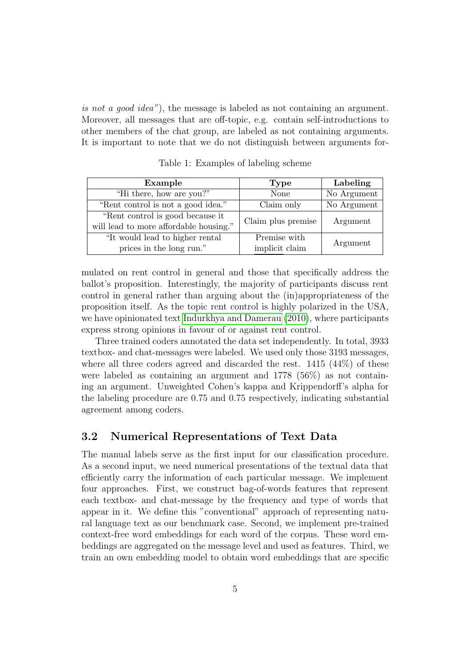is not a good idea"), the message is labeled as not containing an argument. Moreover, all messages that are off-topic, e.g. contain self-introductions to other members of the chat group, are labeled as not containing arguments. It is important to note that we do not distinguish between arguments for-

<span id="page-5-0"></span>

| Example                                | <b>Type</b>        | Labeling    |  |
|----------------------------------------|--------------------|-------------|--|
| "Hi there, how are you?"               | None               | No Argument |  |
| "Rent control is not a good idea."     | Claim only         | No Argument |  |
| "Rent control is good because it       | Claim plus premise | Argument    |  |
| will lead to more affordable housing." |                    |             |  |
| "It would lead to higher rental"       | Premise with       | Argument    |  |
| prices in the long run."               | implicit claim     |             |  |

Table 1: Examples of labeling scheme

mulated on rent control in general and those that specifically address the ballot's proposition. Interestingly, the majority of participants discuss rent control in general rather than arguing about the (in)appropriateness of the proposition itself. As the topic rent control is highly polarized in the USA, we have opinionated text [Indurkhya and Damerau](#page-18-7) [\(2010\)](#page-18-7), where participants express strong opinions in favour of or against rent control.

Three trained coders annotated the data set independently. In total, 3933 textbox- and chat-messages were labeled. We used only those 3193 messages, where all three coders agreed and discarded the rest. 1415 (44%) of these were labeled as containing an argument and 1778 (56%) as not containing an argument. Unweighted Cohen's kappa and Krippendorff's alpha for the labeling procedure are 0.75 and 0.75 respectively, indicating substantial agreement among coders.

#### 3.2 Numerical Representations of Text Data

The manual labels serve as the first input for our classification procedure. As a second input, we need numerical presentations of the textual data that efficiently carry the information of each particular message. We implement four approaches. First, we construct bag-of-words features that represent each textbox- and chat-message by the frequency and type of words that appear in it. We define this "conventional" approach of representing natural language text as our benchmark case. Second, we implement pre-trained context-free word embeddings for each word of the corpus. These word embeddings are aggregated on the message level and used as features. Third, we train an own embedding model to obtain word embeddings that are specific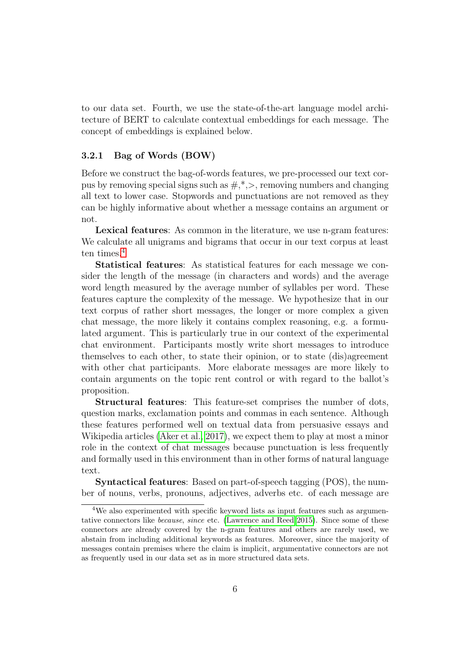to our data set. Fourth, we use the state-of-the-art language model architecture of BERT to calculate contextual embeddings for each message. The concept of embeddings is explained below.

#### 3.2.1 Bag of Words (BOW)

Before we construct the bag-of-words features, we pre-processed our text corpus by removing special signs such as  $\#,^*,\geq,$  removing numbers and changing all text to lower case. Stopwords and punctuations are not removed as they can be highly informative about whether a message contains an argument or not.

Lexical features: As common in the literature, we use n-gram features: We calculate all unigrams and bigrams that occur in our text corpus at least ten times.<sup>[4](#page-6-0)</sup>

Statistical features: As statistical features for each message we consider the length of the message (in characters and words) and the average word length measured by the average number of syllables per word. These features capture the complexity of the message. We hypothesize that in our text corpus of rather short messages, the longer or more complex a given chat message, the more likely it contains complex reasoning, e.g. a formulated argument. This is particularly true in our context of the experimental chat environment. Participants mostly write short messages to introduce themselves to each other, to state their opinion, or to state (dis)agreement with other chat participants. More elaborate messages are more likely to contain arguments on the topic rent control or with regard to the ballot's proposition.

Structural features: This feature-set comprises the number of dots, question marks, exclamation points and commas in each sentence. Although these features performed well on textual data from persuasive essays and Wikipedia articles [\(Aker et al., 2017\)](#page-18-8), we expect them to play at most a minor role in the context of chat messages because punctuation is less frequently and formally used in this environment than in other forms of natural language text.

Syntactical features: Based on part-of-speech tagging (POS), the number of nouns, verbs, pronouns, adjectives, adverbs etc. of each message are

<span id="page-6-0"></span><sup>4</sup>We also experimented with specific keyword lists as input features such as argumentative connectors like because, since etc. [\(Lawrence and Reed 2015\)](#page-19-7). Since some of these connectors are already covered by the n-gram features and others are rarely used, we abstain from including additional keywords as features. Moreover, since the majority of messages contain premises where the claim is implicit, argumentative connectors are not as frequently used in our data set as in more structured data sets.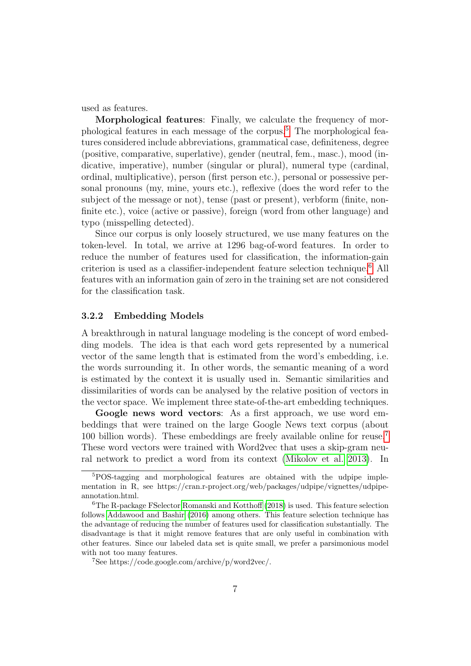used as features.

Morphological features: Finally, we calculate the frequency of morphological features in each message of the corpus.[5](#page-7-0) The morphological features considered include abbreviations, grammatical case, definiteness, degree (positive, comparative, superlative), gender (neutral, fem., masc.), mood (indicative, imperative), number (singular or plural), numeral type (cardinal, ordinal, multiplicative), person (first person etc.), personal or possessive personal pronouns (my, mine, yours etc.), reflexive (does the word refer to the subject of the message or not), tense (past or present), verbform (finite, nonfinite etc.), voice (active or passive), foreign (word from other language) and typo (misspelling detected).

Since our corpus is only loosely structured, we use many features on the token-level. In total, we arrive at 1296 bag-of-word features. In order to reduce the number of features used for classification, the information-gain criterion is used as a classifier-independent feature selection technique.[6](#page-7-1) All features with an information gain of zero in the training set are not considered for the classification task.

#### 3.2.2 Embedding Models

A breakthrough in natural language modeling is the concept of word embedding models. The idea is that each word gets represented by a numerical vector of the same length that is estimated from the word's embedding, i.e. the words surrounding it. In other words, the semantic meaning of a word is estimated by the context it is usually used in. Semantic similarities and dissimilarities of words can be analysed by the relative position of vectors in the vector space. We implement three state-of-the-art embedding techniques.

Google news word vectors: As a first approach, we use word embeddings that were trained on the large Google News text corpus (about 100 billion words). These embeddings are freely available online for reuse.[7](#page-7-2) These word vectors were trained with Word2vec that uses a skip-gram neural network to predict a word from its context [\(Mikolov et al. 2013\)](#page-19-8). In

<span id="page-7-0"></span><sup>5</sup>POS-tagging and morphological features are obtained with the udpipe implementation in R, see https://cran.r-project.org/web/packages/udpipe/vignettes/udpipeannotation.html.

<span id="page-7-1"></span><sup>6</sup>The R-package FSelector [Romanski and Kotthoff](#page-20-7) [\(2018\)](#page-20-7) is used. This feature selection follows [Addawood and Bashir](#page-18-5) [\(2016\)](#page-18-5) among others. This feature selection technique has the advantage of reducing the number of features used for classification substantially. The disadvantage is that it might remove features that are only useful in combination with other features. Since our labeled data set is quite small, we prefer a parsimonious model with not too many features.

<span id="page-7-2"></span><sup>7</sup>See https://code.google.com/archive/p/word2vec/.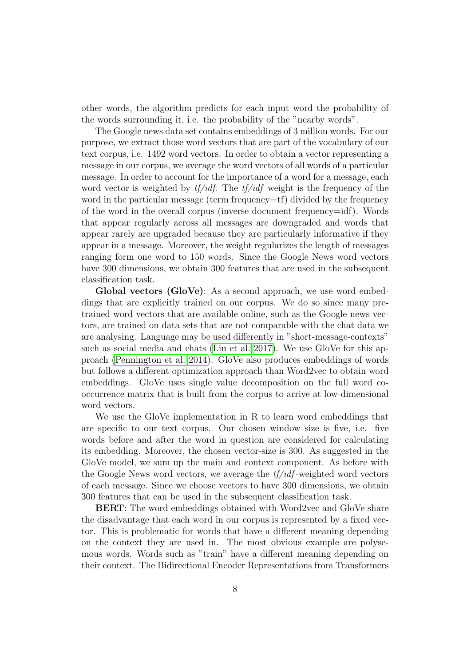other words, the algorithm predicts for each input word the probability of the words surrounding it, i.e. the probability of the "nearby words".

The Google news data set contains embeddings of 3 million words. For our purpose, we extract those word vectors that are part of the vocabulary of our text corpus, i.e. 1492 word vectors. In order to obtain a vector representing a message in our corpus, we average the word vectors of all words of a particular message. In order to account for the importance of a word for a message, each word vector is weighted by  $tf/idf$ . The  $tf/idf$  weight is the frequency of the word in the particular message (term frequency=tf) divided by the frequency of the word in the overall corpus (inverse document frequency=idf). Words that appear regularly across all messages are downgraded and words that appear rarely are upgraded because they are particularly informative if they appear in a message. Moreover, the weight regularizes the length of messages ranging form one word to 150 words. Since the Google News word vectors have 300 dimensions, we obtain 300 features that are used in the subsequent classification task.

Global vectors (GloVe): As a second approach, we use word embeddings that are explicitly trained on our corpus. We do so since many pretrained word vectors that are available online, such as the Google news vectors, are trained on data sets that are not comparable with the chat data we are analysing. Language may be used differently in "short-message-contexts" such as social media and chats [\(Liu et al. 2017\)](#page-19-9). We use GloVe for this approach [\(Pennington et al. 2014\)](#page-19-10). GloVe also produces embeddings of words but follows a different optimization approach than Word2vec to obtain word embeddings. GloVe uses single value decomposition on the full word cooccurrence matrix that is built from the corpus to arrive at low-dimensional word vectors.

We use the GloVe implementation in R to learn word embeddings that are specific to our text corpus. Our chosen window size is five, i.e. five words before and after the word in question are considered for calculating its embedding. Moreover, the chosen vector-size is 300. As suggested in the GloVe model, we sum up the main and context component. As before with the Google News word vectors, we average the  $tf/df$ -weighted word vectors of each message. Since we choose vectors to have 300 dimensions, we obtain 300 features that can be used in the subsequent classification task.

BERT: The word embeddings obtained with Word2vec and GloVe share the disadvantage that each word in our corpus is represented by a fixed vector. This is problematic for words that have a different meaning depending on the context they are used in. The most obvious example are polysemous words. Words such as "train" have a different meaning depending on their context. The Bidirectional Encoder Representations from Transformers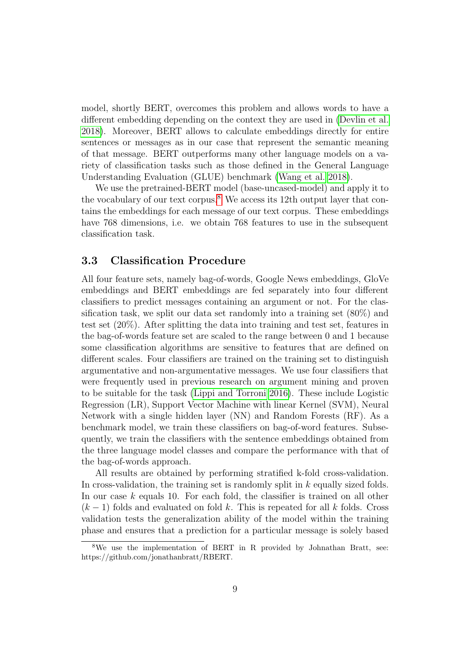model, shortly BERT, overcomes this problem and allows words to have a different embedding depending on the context they are used in [\(Devlin et al.](#page-18-9) [2018\)](#page-18-9). Moreover, BERT allows to calculate embeddings directly for entire sentences or messages as in our case that represent the semantic meaning of that message. BERT outperforms many other language models on a variety of classification tasks such as those defined in the General Language Understanding Evaluation (GLUE) benchmark [\(Wang et al. 2018\)](#page-20-8).

We use the pretrained-BERT model (base-uncased-model) and apply it to the vocabulary of our text corpus. $8$  We access its 12th output layer that contains the embeddings for each message of our text corpus. These embeddings have 768 dimensions, i.e. we obtain 768 features to use in the subsequent classification task.

#### 3.3 Classification Procedure

All four feature sets, namely bag-of-words, Google News embeddings, GloVe embeddings and BERT embeddings are fed separately into four different classifiers to predict messages containing an argument or not. For the classification task, we split our data set randomly into a training set (80%) and test set (20%). After splitting the data into training and test set, features in the bag-of-words feature set are scaled to the range between 0 and 1 because some classification algorithms are sensitive to features that are defined on different scales. Four classifiers are trained on the training set to distinguish argumentative and non-argumentative messages. We use four classifiers that were frequently used in previous research on argument mining and proven to be suitable for the task [\(Lippi and Torroni 2016\)](#page-19-3). These include Logistic Regression (LR), Support Vector Machine with linear Kernel (SVM), Neural Network with a single hidden layer (NN) and Random Forests (RF). As a benchmark model, we train these classifiers on bag-of-word features. Subsequently, we train the classifiers with the sentence embeddings obtained from the three language model classes and compare the performance with that of the bag-of-words approach.

All results are obtained by performing stratified k-fold cross-validation. In cross-validation, the training set is randomly split in  $k$  equally sized folds. In our case k equals 10. For each fold, the classifier is trained on all other  $(k-1)$  folds and evaluated on fold k. This is repeated for all k folds. Cross validation tests the generalization ability of the model within the training phase and ensures that a prediction for a particular message is solely based

<span id="page-9-0"></span><sup>8</sup>We use the implementation of BERT in R provided by Johnathan Bratt, see: https://github.com/jonathanbratt/RBERT.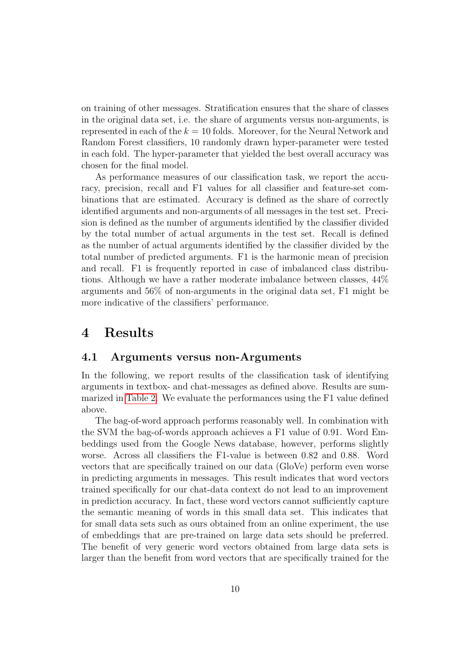on training of other messages. Stratification ensures that the share of classes in the original data set, i.e. the share of arguments versus non-arguments, is represented in each of the  $k = 10$  folds. Moreover, for the Neural Network and Random Forest classifiers, 10 randomly drawn hyper-parameter were tested in each fold. The hyper-parameter that yielded the best overall accuracy was chosen for the final model.

As performance measures of our classification task, we report the accuracy, precision, recall and F1 values for all classifier and feature-set combinations that are estimated. Accuracy is defined as the share of correctly identified arguments and non-arguments of all messages in the test set. Precision is defined as the number of arguments identified by the classifier divided by the total number of actual arguments in the test set. Recall is defined as the number of actual arguments identified by the classifier divided by the total number of predicted arguments. F1 is the harmonic mean of precision and recall. F1 is frequently reported in case of imbalanced class distributions. Although we have a rather moderate imbalance between classes, 44% arguments and 56% of non-arguments in the original data set, F1 might be more indicative of the classifiers' performance.

### 4 Results

#### 4.1 Arguments versus non-Arguments

In the following, we report results of the classification task of identifying arguments in textbox- and chat-messages as defined above. Results are summarized in [Table 2.](#page-11-0) We evaluate the performances using the F1 value defined above.

The bag-of-word approach performs reasonably well. In combination with the SVM the bag-of-words approach achieves a F1 value of 0.91. Word Embeddings used from the Google News database, however, performs slightly worse. Across all classifiers the F1-value is between 0.82 and 0.88. Word vectors that are specifically trained on our data (GloVe) perform even worse in predicting arguments in messages. This result indicates that word vectors trained specifically for our chat-data context do not lead to an improvement in prediction accuracy. In fact, these word vectors cannot sufficiently capture the semantic meaning of words in this small data set. This indicates that for small data sets such as ours obtained from an online experiment, the use of embeddings that are pre-trained on large data sets should be preferred. The benefit of very generic word vectors obtained from large data sets is larger than the benefit from word vectors that are specifically trained for the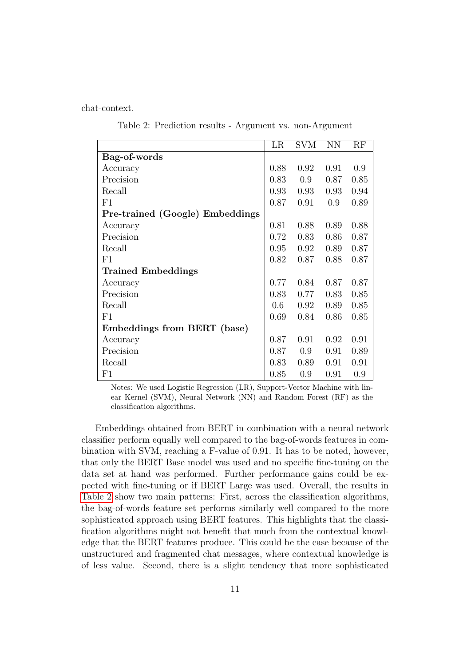<span id="page-11-0"></span>chat-context.

Table 2: Prediction results - Argument vs. non-Argument

|                                 | LR   | <b>SVM</b> | <b>NN</b> | RF   |
|---------------------------------|------|------------|-----------|------|
| Bag-of-words                    |      |            |           |      |
| Accuracy                        | 0.88 | 0.92       | 0.91      | 0.9  |
| Precision                       | 0.83 | 0.9        | 0.87      | 0.85 |
| Recall                          | 0.93 | 0.93       | 0.93      | 0.94 |
| F1                              | 0.87 | 0.91       | 0.9       | 0.89 |
| Pre-trained (Google) Embeddings |      |            |           |      |
| Accuracy                        | 0.81 | 0.88       | 0.89      | 0.88 |
| Precision                       | 0.72 | 0.83       | 0.86      | 0.87 |
| Recall                          | 0.95 | 0.92       | 0.89      | 0.87 |
| F1                              | 0.82 | 0.87       | 0.88      | 0.87 |
| <b>Trained Embeddings</b>       |      |            |           |      |
| Accuracy                        | 0.77 | 0.84       | 0.87      | 0.87 |
| Precision                       | 0.83 | 0.77       | 0.83      | 0.85 |
| Recall                          | 0.6  | 0.92       | 0.89      | 0.85 |
| F1                              | 0.69 | 0.84       | 0.86      | 0.85 |
| Embeddings from BERT (base)     |      |            |           |      |
| Accuracy                        | 0.87 | 0.91       | 0.92      | 0.91 |
| Precision                       | 0.87 | 0.9        | 0.91      | 0.89 |
| Recall                          | 0.83 | 0.89       | 0.91      | 0.91 |
| F1                              | 0.85 | 0.9        | 0.91      | 0.9  |

Notes: We used Logistic Regression (LR), Support-Vector Machine with linear Kernel (SVM), Neural Network (NN) and Random Forest (RF) as the classification algorithms.

Embeddings obtained from BERT in combination with a neural network classifier perform equally well compared to the bag-of-words features in combination with SVM, reaching a F-value of 0.91. It has to be noted, however, that only the BERT Base model was used and no specific fine-tuning on the data set at hand was performed. Further performance gains could be expected with fine-tuning or if BERT Large was used. Overall, the results in [Table 2](#page-11-0) show two main patterns: First, across the classification algorithms, the bag-of-words feature set performs similarly well compared to the more sophisticated approach using BERT features. This highlights that the classification algorithms might not benefit that much from the contextual knowledge that the BERT features produce. This could be the case because of the unstructured and fragmented chat messages, where contextual knowledge is of less value. Second, there is a slight tendency that more sophisticated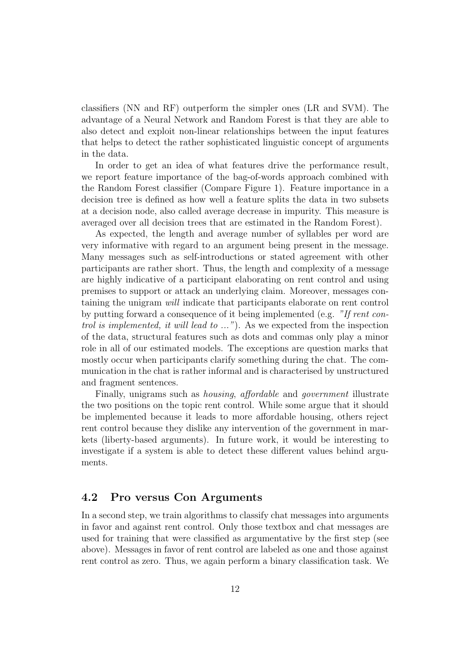classifiers (NN and RF) outperform the simpler ones (LR and SVM). The advantage of a Neural Network and Random Forest is that they are able to also detect and exploit non-linear relationships between the input features that helps to detect the rather sophisticated linguistic concept of arguments in the data.

In order to get an idea of what features drive the performance result, we report feature importance of the bag-of-words approach combined with the Random Forest classifier (Compare Figure 1). Feature importance in a decision tree is defined as how well a feature splits the data in two subsets at a decision node, also called average decrease in impurity. This measure is averaged over all decision trees that are estimated in the Random Forest).

As expected, the length and average number of syllables per word are very informative with regard to an argument being present in the message. Many messages such as self-introductions or stated agreement with other participants are rather short. Thus, the length and complexity of a message are highly indicative of a participant elaborating on rent control and using premises to support or attack an underlying claim. Moreover, messages containing the unigram will indicate that participants elaborate on rent control by putting forward a consequence of it being implemented (e.g. "If rent control is implemented, it will lead to ..."). As we expected from the inspection of the data, structural features such as dots and commas only play a minor role in all of our estimated models. The exceptions are question marks that mostly occur when participants clarify something during the chat. The communication in the chat is rather informal and is characterised by unstructured and fragment sentences.

Finally, unigrams such as housing, affordable and government illustrate the two positions on the topic rent control. While some argue that it should be implemented because it leads to more affordable housing, others reject rent control because they dislike any intervention of the government in markets (liberty-based arguments). In future work, it would be interesting to investigate if a system is able to detect these different values behind arguments.

#### 4.2 Pro versus Con Arguments

In a second step, we train algorithms to classify chat messages into arguments in favor and against rent control. Only those textbox and chat messages are used for training that were classified as argumentative by the first step (see above). Messages in favor of rent control are labeled as one and those against rent control as zero. Thus, we again perform a binary classification task. We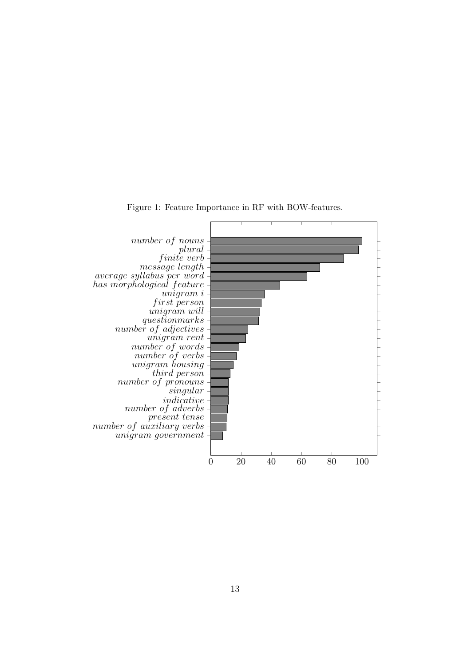

Figure 1: Feature Importance in RF with BOW-features.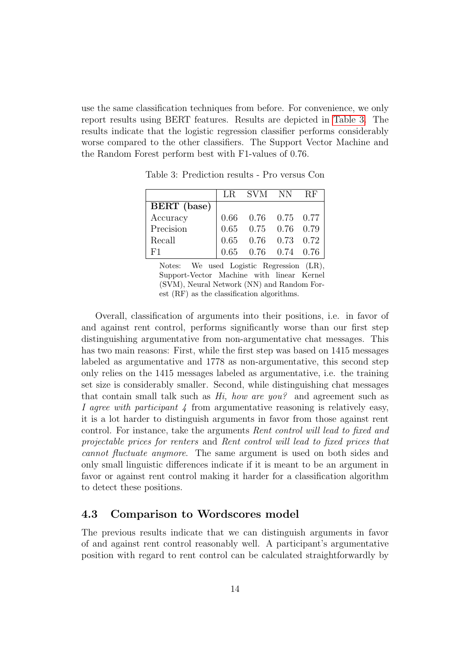<span id="page-14-0"></span>use the same classification techniques from before. For convenience, we only report results using BERT features. Results are depicted in [Table 3.](#page-14-0) The results indicate that the logistic regression classifier performs considerably worse compared to the other classifiers. The Support Vector Machine and the Random Forest perform best with F1-values of 0.76.

|             | LR SVM NN RF                                                                                                       |  |
|-------------|--------------------------------------------------------------------------------------------------------------------|--|
| BERT (base) |                                                                                                                    |  |
| Accuracy    | $\begin{array}{ ccc } 0.66 & 0.76 & 0.75 & 0.77\ 0.65 & 0.75 & 0.76 & 0.79\ 0.65 & 0.76 & 0.73 & 0.72 \end{array}$ |  |
| Precision   |                                                                                                                    |  |
| Recall      |                                                                                                                    |  |
| F1          | $0.65$ 0.76 0.74 0.76                                                                                              |  |

Table 3: Prediction results - Pro versus Con

Notes: We used Logistic Regression (LR), Support-Vector Machine with linear Kernel (SVM), Neural Network (NN) and Random Forest (RF) as the classification algorithms.

Overall, classification of arguments into their positions, i.e. in favor of and against rent control, performs significantly worse than our first step distinguishing argumentative from non-argumentative chat messages. This has two main reasons: First, while the first step was based on 1415 messages labeled as argumentative and 1778 as non-argumentative, this second step only relies on the 1415 messages labeled as argumentative, i.e. the training set size is considerably smaller. Second, while distinguishing chat messages that contain small talk such as  $Hi$ , how are you? and agreement such as I agree with participant  $\lambda$  from argumentative reasoning is relatively easy, it is a lot harder to distinguish arguments in favor from those against rent control. For instance, take the arguments Rent control will lead to fixed and projectable prices for renters and Rent control will lead to fixed prices that cannot fluctuate anymore. The same argument is used on both sides and only small linguistic differences indicate if it is meant to be an argument in favor or against rent control making it harder for a classification algorithm to detect these positions.

#### 4.3 Comparison to Wordscores model

The previous results indicate that we can distinguish arguments in favor of and against rent control reasonably well. A participant's argumentative position with regard to rent control can be calculated straightforwardly by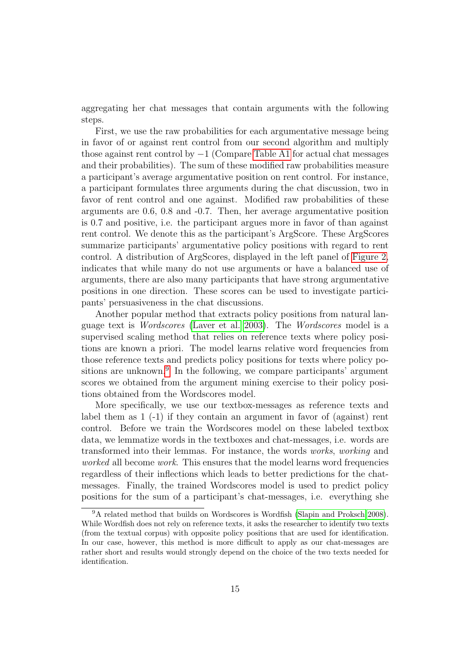aggregating her chat messages that contain arguments with the following steps.

First, we use the raw probabilities for each argumentative message being in favor of or against rent control from our second algorithm and multiply those against rent control by −1 (Compare [Table A1](#page-22-0) for actual chat messages and their probabilities). The sum of these modified raw probabilities measure a participant's average argumentative position on rent control. For instance, a participant formulates three arguments during the chat discussion, two in favor of rent control and one against. Modified raw probabilities of these arguments are 0.6, 0.8 and -0.7. Then, her average argumentative position is 0.7 and positive, i.e. the participant argues more in favor of than against rent control. We denote this as the participant's ArgScore. These ArgScores summarize participants' argumentative policy positions with regard to rent control. A distribution of ArgScores, displayed in the left panel of [Figure 2,](#page-16-0) indicates that while many do not use arguments or have a balanced use of arguments, there are also many participants that have strong argumentative positions in one direction. These scores can be used to investigate participants' persuasiveness in the chat discussions.

Another popular method that extracts policy positions from natural language text is Wordscores [\(Laver et al. 2003\)](#page-18-10). The Wordscores model is a supervised scaling method that relies on reference texts where policy positions are known a priori. The model learns relative word frequencies from those reference texts and predicts policy positions for texts where policy po-sitions are unknown.<sup>[9](#page-15-0)</sup> In the following, we compare participants' argument scores we obtained from the argument mining exercise to their policy positions obtained from the Wordscores model.

More specifically, we use our textbox-messages as reference texts and label them as 1 (-1) if they contain an argument in favor of (against) rent control. Before we train the Wordscores model on these labeled textbox data, we lemmatize words in the textboxes and chat-messages, i.e. words are transformed into their lemmas. For instance, the words works, working and worked all become work. This ensures that the model learns word frequencies regardless of their inflections which leads to better predictions for the chatmessages. Finally, the trained Wordscores model is used to predict policy positions for the sum of a participant's chat-messages, i.e. everything she

<span id="page-15-0"></span><sup>&</sup>lt;sup>9</sup>A related method that builds on Wordscores is Wordfish [\(Slapin and Proksch 2008\)](#page-20-9). While Wordfish does not rely on reference texts, it asks the researcher to identify two texts (from the textual corpus) with opposite policy positions that are used for identification. In our case, however, this method is more difficult to apply as our chat-messages are rather short and results would strongly depend on the choice of the two texts needed for identification.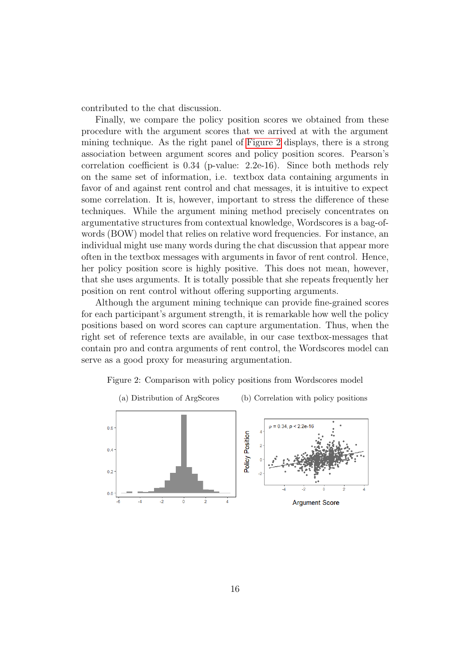contributed to the chat discussion.

Finally, we compare the policy position scores we obtained from these procedure with the argument scores that we arrived at with the argument mining technique. As the right panel of [Figure 2](#page-16-0) displays, there is a strong association between argument scores and policy position scores. Pearson's correlation coefficient is 0.34 (p-value: 2.2e-16). Since both methods rely on the same set of information, i.e. textbox data containing arguments in favor of and against rent control and chat messages, it is intuitive to expect some correlation. It is, however, important to stress the difference of these techniques. While the argument mining method precisely concentrates on argumentative structures from contextual knowledge, Wordscores is a bag-ofwords (BOW) model that relies on relative word frequencies. For instance, an individual might use many words during the chat discussion that appear more often in the textbox messages with arguments in favor of rent control. Hence, her policy position score is highly positive. This does not mean, however, that she uses arguments. It is totally possible that she repeats frequently her position on rent control without offering supporting arguments.

Although the argument mining technique can provide fine-grained scores for each participant's argument strength, it is remarkable how well the policy positions based on word scores can capture argumentation. Thus, when the right set of reference texts are available, in our case textbox-messages that contain pro and contra arguments of rent control, the Wordscores model can serve as a good proxy for measuring argumentation.

<span id="page-16-0"></span>

Figure 2: Comparison with policy positions from Wordscores model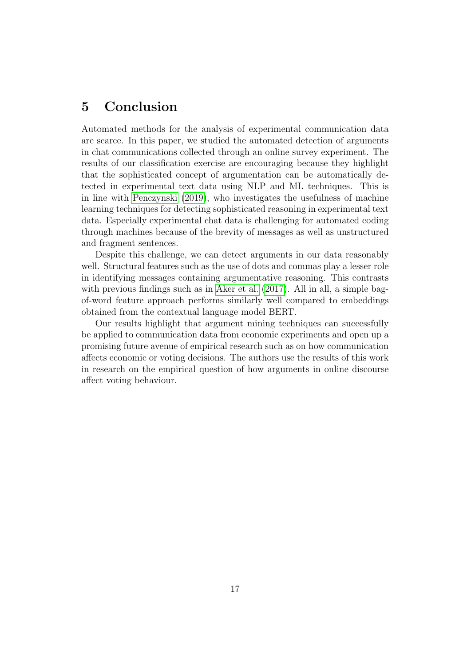## 5 Conclusion

Automated methods for the analysis of experimental communication data are scarce. In this paper, we studied the automated detection of arguments in chat communications collected through an online survey experiment. The results of our classification exercise are encouraging because they highlight that the sophisticated concept of argumentation can be automatically detected in experimental text data using NLP and ML techniques. This is in line with [Penczynski](#page-19-0) [\(2019\)](#page-19-0), who investigates the usefulness of machine learning techniques for detecting sophisticated reasoning in experimental text data. Especially experimental chat data is challenging for automated coding through machines because of the brevity of messages as well as unstructured and fragment sentences.

Despite this challenge, we can detect arguments in our data reasonably well. Structural features such as the use of dots and commas play a lesser role in identifying messages containing argumentative reasoning. This contrasts with previous findings such as in [Aker et al.](#page-18-8)  $(2017)$ . All in all, a simple bagof-word feature approach performs similarly well compared to embeddings obtained from the contextual language model BERT.

Our results highlight that argument mining techniques can successfully be applied to communication data from economic experiments and open up a promising future avenue of empirical research such as on how communication affects economic or voting decisions. The authors use the results of this work in research on the empirical question of how arguments in online discourse affect voting behaviour.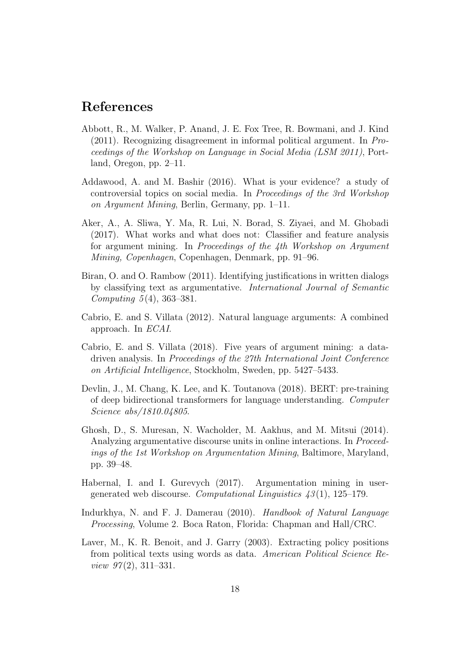## References

- <span id="page-18-2"></span>Abbott, R., M. Walker, P. Anand, J. E. Fox Tree, R. Bowmani, and J. Kind (2011). Recognizing disagreement in informal political argument. In Proceedings of the Workshop on Language in Social Media (LSM 2011), Portland, Oregon, pp. 2–11.
- <span id="page-18-5"></span>Addawood, A. and M. Bashir (2016). What is your evidence? a study of controversial topics on social media. In Proceedings of the 3rd Workshop on Argument Mining, Berlin, Germany, pp. 1–11.
- <span id="page-18-8"></span>Aker, A., A. Sliwa, Y. Ma, R. Lui, N. Borad, S. Ziyaei, and M. Ghobadi (2017). What works and what does not: Classifier and feature analysis for argument mining. In Proceedings of the 4th Workshop on Argument Mining, Copenhagen, Copenhagen, Denmark, pp. 91–96.
- <span id="page-18-3"></span>Biran, O. and O. Rambow (2011). Identifying justifications in written dialogs by classifying text as argumentative. International Journal of Semantic *Computing*  $5(4)$ ,  $363-381$ .
- <span id="page-18-0"></span>Cabrio, E. and S. Villata (2012). Natural language arguments: A combined approach. In ECAI.
- <span id="page-18-1"></span>Cabrio, E. and S. Villata (2018). Five years of argument mining: a datadriven analysis. In Proceedings of the 27th International Joint Conference on Artificial Intelligence, Stockholm, Sweden, pp. 5427–5433.
- <span id="page-18-9"></span>Devlin, J., M. Chang, K. Lee, and K. Toutanova (2018). BERT: pre-training of deep bidirectional transformers for language understanding. Computer Science abs/1810.04805.
- <span id="page-18-4"></span>Ghosh, D., S. Muresan, N. Wacholder, M. Aakhus, and M. Mitsui (2014). Analyzing argumentative discourse units in online interactions. In Proceedings of the 1st Workshop on Argumentation Mining, Baltimore, Maryland, pp. 39–48.
- <span id="page-18-6"></span>Habernal, I. and I. Gurevych (2017). Argumentation mining in usergenerated web discourse. Computational Linguistics  $\mathcal{A}3(1)$ , 125–179.
- <span id="page-18-7"></span>Indurkhya, N. and F. J. Damerau (2010). Handbook of Natural Language Processing, Volume 2. Boca Raton, Florida: Chapman and Hall/CRC.
- <span id="page-18-10"></span>Laver, M., K. R. Benoit, and J. Garry (2003). Extracting policy positions from political texts using words as data. American Political Science Review  $97(2)$ , 311-331.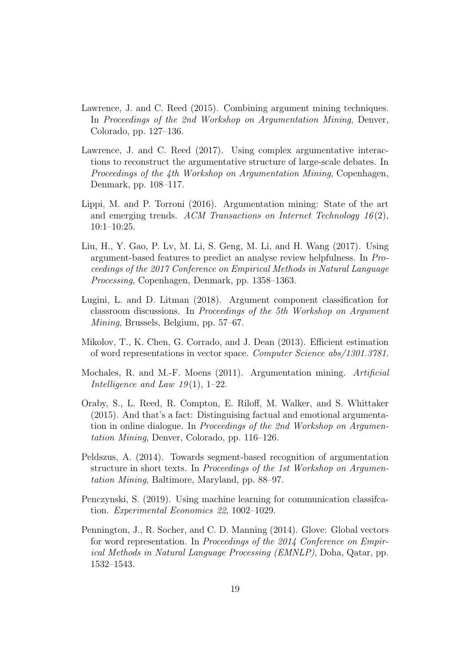- <span id="page-19-7"></span>Lawrence, J. and C. Reed (2015). Combining argument mining techniques. In Proceedings of the 2nd Workshop on Argumentation Mining, Denver, Colorado, pp. 127–136.
- <span id="page-19-4"></span>Lawrence, J. and C. Reed (2017). Using complex argumentative interactions to reconstruct the argumentative structure of large-scale debates. In Proceedings of the 4th Workshop on Argumentation Mining, Copenhagen, Denmark, pp. 108–117.
- <span id="page-19-3"></span>Lippi, M. and P. Torroni (2016). Argumentation mining: State of the art and emerging trends. ACM Transactions on Internet Technology  $16(2)$ , 10:1–10:25.
- <span id="page-19-9"></span>Liu, H., Y. Gao, P. Lv, M. Li, S. Geng, M. Li, and H. Wang (2017). Using argument-based features to predict an analyse review helpfulness. In Proceedings of the 2017 Conference on Empirical Methods in Natural Language Processing, Copenhagen, Denmark, pp. 1358–1363.
- <span id="page-19-5"></span>Lugini, L. and D. Litman (2018). Argument component classification for classroom discussions. In Proceedings of the 5th Workshop on Argument Mining, Brussels, Belgium, pp. 57–67.
- <span id="page-19-8"></span>Mikolov, T., K. Chen, G. Corrado, and J. Dean (2013). Efficient estimation of word representations in vector space. Computer Science abs/1301.3781.
- <span id="page-19-1"></span>Mochales, R. and M.-F. Moens (2011). Argumentation mining. Artificial Intelligence and Law  $19(1)$ , 1–22.
- <span id="page-19-6"></span>Oraby, S., L. Reed, R. Compton, E. Riloff, M. Walker, and S. Whittaker (2015). And that's a fact: Distinguising factual and emotional argumentation in online dialogue. In Proceedings of the 2nd Workshop on Argumentation Mining, Denver, Colorado, pp. 116–126.
- <span id="page-19-2"></span>Peldszus, A. (2014). Towards segment-based recognition of argumentation structure in short texts. In Proceedings of the 1st Workshop on Argumentation Mining, Baltimore, Maryland, pp. 88–97.
- <span id="page-19-0"></span>Penczynski, S. (2019). Using machine learning for communication classifcation. Experimental Economics 22, 1002–1029.
- <span id="page-19-10"></span>Pennington, J., R. Socher, and C. D. Manning (2014). Glove: Global vectors for word representation. In Proceedings of the 2014 Conference on Empirical Methods in Natural Language Processing (EMNLP), Doha, Qatar, pp. 1532–1543.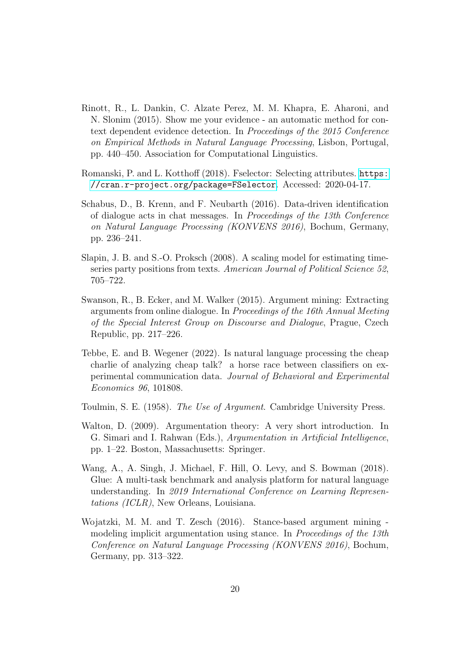- <span id="page-20-5"></span>Rinott, R., L. Dankin, C. Alzate Perez, M. M. Khapra, E. Aharoni, and N. Slonim (2015). Show me your evidence - an automatic method for context dependent evidence detection. In Proceedings of the 2015 Conference on Empirical Methods in Natural Language Processing, Lisbon, Portugal, pp. 440–450. Association for Computational Linguistics.
- <span id="page-20-7"></span>Romanski, P. and L. Kotthoff (2018). Fselector: Selecting attributes. [https:](https://cran.r-project.org/package=FSelector) [//cran.r-project.org/package=FSelector](https://cran.r-project.org/package=FSelector). Accessed: 2020-04-17.
- <span id="page-20-0"></span>Schabus, D., B. Krenn, and F. Neubarth (2016). Data-driven identification of dialogue acts in chat messages. In Proceedings of the 13th Conference on Natural Language Processing (KONVENS 2016), Bochum, Germany, pp. 236–241.
- <span id="page-20-9"></span>Slapin, J. B. and S.-O. Proksch (2008). A scaling model for estimating timeseries party positions from texts. American Journal of Political Science 52, 705–722.
- <span id="page-20-2"></span>Swanson, R., B. Ecker, and M. Walker (2015). Argument mining: Extracting arguments from online dialogue. In Proceedings of the 16th Annual Meeting of the Special Interest Group on Discourse and Dialogue, Prague, Czech Republic, pp. 217–226.
- <span id="page-20-1"></span>Tebbe, E. and B. Wegener (2022). Is natural language processing the cheap charlie of analyzing cheap talk? a horse race between classifiers on experimental communication data. Journal of Behavioral and Experimental Economics 96, 101808.
- <span id="page-20-3"></span>Toulmin, S. E. (1958). The Use of Argument. Cambridge University Press.
- <span id="page-20-4"></span>Walton, D. (2009). Argumentation theory: A very short introduction. In G. Simari and I. Rahwan (Eds.), Argumentation in Artificial Intelligence, pp. 1–22. Boston, Massachusetts: Springer.
- <span id="page-20-8"></span>Wang, A., A. Singh, J. Michael, F. Hill, O. Levy, and S. Bowman (2018). Glue: A multi-task benchmark and analysis platform for natural language understanding. In 2019 International Conference on Learning Representations (ICLR), New Orleans, Louisiana.
- <span id="page-20-6"></span>Wojatzki, M. M. and T. Zesch (2016). Stance-based argument mining modeling implicit argumentation using stance. In *Proceedings of the 13th* Conference on Natural Language Processing (KONVENS 2016), Bochum, Germany, pp. 313–322.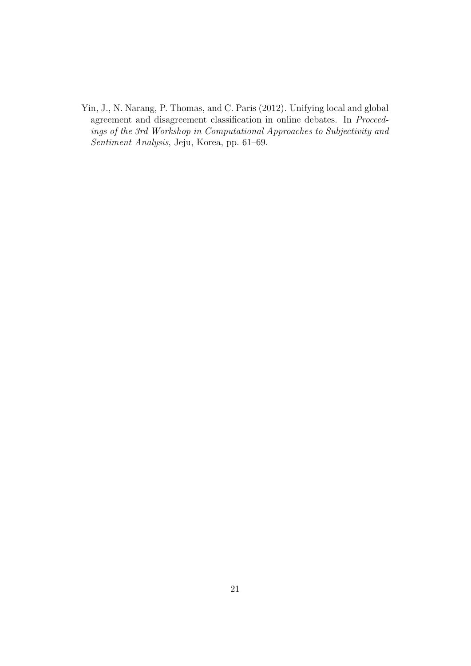<span id="page-21-0"></span>Yin, J., N. Narang, P. Thomas, and C. Paris (2012). Unifying local and global agreement and disagreement classification in online debates. In Proceedings of the 3rd Workshop in Computational Approaches to Subjectivity and Sentiment Analysis, Jeju, Korea, pp. 61–69.